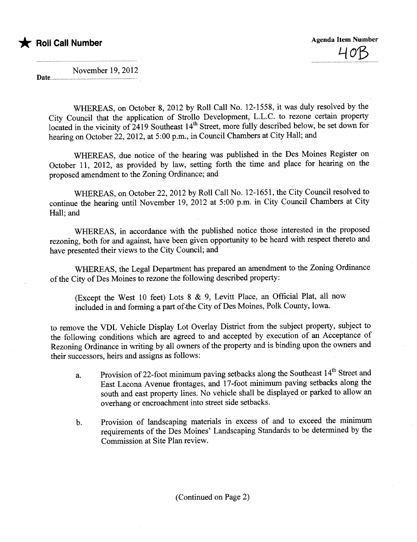

November 19,2012

Date...

WHEREAS, on October 8, 2012 by Roll Call No. 12-1558, it was duly resolved by the City Council that the application of Strollo Development, L.L.C. to rezone certain propert located in the vicinity of 2419 Southeast 14<sup>th</sup> Street, more fully described below, be set down for hearing on October 22, 2012, at 5:00 p.m., in Council Chambers at City Hall; and

WHEREAS, due notice of the hearing was published in the Des Moines Register on October 11, 2012, as provided by law, setting forth the time and place for hearing on the proposed amendment to the Zoning Ordinance; and

WHEREAS, on October 22,2012 by Roll Call No. 12-1651, the City Council resolved to continue the hearing until November 19, 2012 at 5:00 p.m. in City Council Chambers at City Hall; and

WHEREAS, in accordance with the published notice those interested in the proposed rezoning, both for and against, have been given opportunity to be heard with respect thereto and have presented their views to the City Council; and

WHEREAS, the Legal Department has prepared an amendment to the Zoning Ordinance of the City of Des Moines to rezone the following described property:

included in and forming a part of the City of Des Moines, Polk County, Iowa. (Except the West 10 feet) Lots  $8 \& 9$ , Levitt Place, an Official Plat, all now

to remove the VDL Vehicle Display Lot Overlay District from the subject property, subject to the following conditions which are agreed to and accepted by execution of an Acceptace of Rezoning Ordinance in writing by all owners of the property and is binding upon the owners and their successors, heirs and assigns as follows:

- a. Provision of 22-foot minimum paving setbacks along the Southeast 14<sup>th</sup> Street and East Lacona Avenue frontages, and 17-foot minimum paving setbacks along the south and east property lines. No vehicle shall be displayed or parked to allow an overhang or encroachment into street side setbacks.
- b. Provision of landscaping materials in excess of and to exceed the minimum requirements of the Des Moines' Landscaping Standards to be determined by the Commission at Site Plan review.